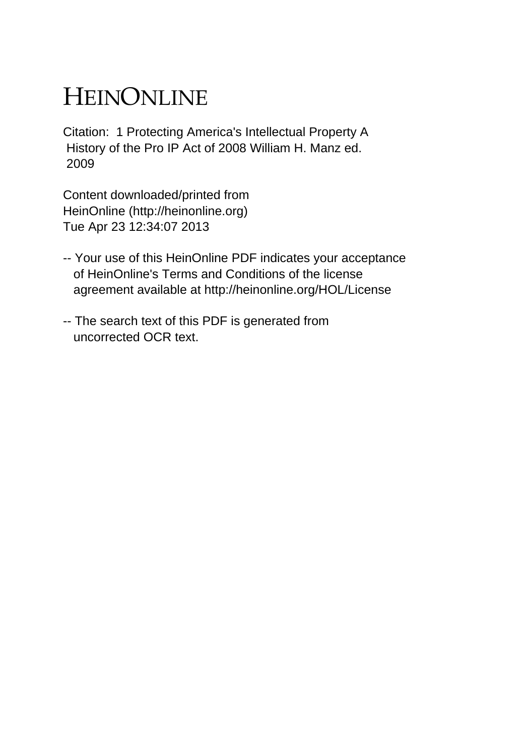# HEINONLINE

Citation: 1 Protecting America's Intellectual Property A History of the Pro IP Act of 2008 William H. Manz ed. 2009

Content downloaded/printed from HeinOnline (http://heinonline.org) Tue Apr 23 12:34:07 2013

- -- Your use of this HeinOnline PDF indicates your acceptance of HeinOnline's Terms and Conditions of the license agreement available at http://heinonline.org/HOL/License
- -- The search text of this PDF is generated from uncorrected OCR text.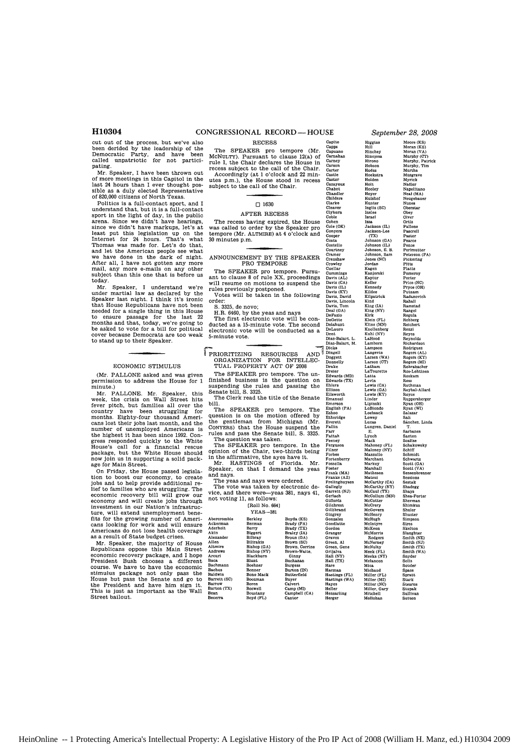cut out of the process, but we've also been derided by the leadership of the Democratic Party, and have been called unpatriotic for not participating.

Mr. Speaker, I have been thrown out of more meetings in this Capitol in the last 24 hours than I ever thought possible as a duly elected Representative of **820,000** citizens of North Texas.

Politics is a full-contact sport, and I understand that, but it is a full-contact sport in the light of day, in the public arena. Since we didn't have hearings, since we didn't have markups, let's at least put this legislation up on the Internet for 24 hours. That's what Thomas was made for. Let's do that, and let the American people see what we have done in the dark of night. After all, I have not gotten any more mail, any more e-mails on any other subject than this one that is before us today.<br>Mr. Speaker,

I understand under martial law as declared by the Speaker last night. I think it's ironic that House Republicans have not been needed for a single thing in this House to ensure passage for the last 22 months and that, today, we're going to be asked to vote for a bill for political cover because Democrats are too weak to stand up to their Speaker.

### ECONOMIC STIMULUS

(Mr. **PALLONE** asked and was given permission to address the House for 1 minute.)

Mr. PALLONE. Mr. Speaker, this week, the crisis on Wall Street hits fever pitch, but families all over the country have been struggling for months, Eighty-four thousand Americans lost their jobs last month, and the number of unemployed Americans is the highest it has been since 1992. Congress responded quickly to the White House's call for a financial rescue package, but the White House should now join us in supporting a solid package for Main Street.

On Friday, the House passed legislation to boost our economy, to create jobs and to help provide additional re-lief to families who are struggling. The economic recovery bill will grow our economy and will create jobs through investment in our Nation's infrastructure, will extend unemployment benefits for the growing number of Ameri-cans looking for work and will ensure Americans do not lose health coverage as a result of State budget crises.

Mr. Speaker, the majority of House Republicans oppose this Main Street economic recovery package, and I hope President Bush chooses a different course. We have to have the economic<br>course. We have to have the economic stimulus package not only pass the House but pass the Senate and go to the President and have him sign it. This is just as important as the Wall Street bailout.

### **H10304 CONGRESSIONAL RECORD- HOUSE**

Capito Capps<br>
The SPEAKER pro tempore (Mr. Capuano<br>
MCNULTY). Pursuant to clause 12(a) of Carnahan<br>
rule I, the Chair declares the House in Carson recess subject to the call of the Chair. Carter<br>Accordingly (at 1 o'clock and 22 min- Castle Accordingly (at 1 o'clock and 22 min-<br>utes p.m.), the House stood in recess Castor

subject to the call of the Chair.

AFTER RECESS<br>
Soble<br>
Soble Cobe<br>
to order by the Speaker pro <sup>Cobe</sup> (OK)<br>
tree Armangh at 4 o'clock and <sup>Conyers</sup> The recess having expired, the House<br>was called to order by the Speaker pro tempore (Mr. ALTMIRE) at 4 o'clock and Conger  $30$  minutes p.m.

## ANNOUNCEMENT BY THE SPEAKER<br>PRO TEMPORE

**PRO TEMPORE** Crowley<br>The SPEAKER pro tempore. Pursu- Cuellar<br>ant to clause 8 of rule XX, proceedings Davis (AL)<br>will resume on motions to suspend the Davis (CA)

ant to clause 8 of rule XX, proceedings Davis (AA)<br>will resume on motions to suspend the Davis (IL)<br>rules previously postponed. We<br>assume the particular particular previously postponed. Davis, David (KY)<br>order: Davis, Davi

The first electronic vote will be con-<br>ducted as a 15-minute vote. The second Delahunt<br>electronic vote will be conducted as a **Delauro**<br>5-minute vote. Diaz-Balaxt. L.<br>max-Balaxt. L.

PRIORITIZING RESOURCES AND

CORGANIZATION FOR INTELLEC- Donnelly<br>
TUAL PROPERTY ACT OF 2008<br>
TUAL PROPERTY ACT OF 2008<br>
The SPEAKER pro tempore. The un-<br>
Externation of the property of the property<br>
sispending the prince and passing the Ellison<br>
enat The SPEAKER pro tempore. The unfinished business is the question on Edwards (TX)<br>suspending the rules and passing the Ehlers<br>Senate bill, S. 3325. Ellison

Senate bill, S. 3325.<br>The Clerk read the title of the Senate Elisworth<br>bill.<br>The SPEAKER pro tempore. The English (PA)<br> $\frac{\text{Energy}}{\text{Rat}}$ The SPEAKER pro tempore. The

The SPEAKER pro tempore. The English (PA) question is on the motion offered by Eshoo question is on the motion offered by Etheridge the gentleman from Michigan (Mr. Everett CONYERS) that the House suspend the Fallin rules and pass the Senate bill, **S.** 3325. Farrttah The question was taken. **Feeney**

on many of the Senate bill, S. 3325. Fart<br>The question was taken.<br>The SPEAKER pro tempore. In the Feruson<br>of the SPEAKER pro tempore. In the Feruson<br>pinion of the Chair, two-thirds being Filter

opinion of the Chair, two-thirds being Filner<br>in the affirmative, the ayes have it. Fortenberry opinion of the Chair, two-thirds being<br>in the affirmative, the ayes have it.<br>Mr. HASTINGS of Florida. Mr. Fossella<br>Speaker, on that I demand the yeas Frank (MA)<br>and navs

Speaker, on that I demand the yeas Foster and nays.<br>
and nays and nays were ordered. **Frank (MA)**<br>
The yeas and nays were ordered. **Frelinghuyseen**<br>
The vote was taken by electronic de-Gallegly The yeas and nays were ordered.<br>The vote was taken by electronic de-<br> $\frac{1}{2}$  and there were--yeas 381, nays 41, Gartet (NJ)<br>vice, and there were-yeas 381, nays 41, Gerlach<br>chart in the follows:

not voting 11, as follows: **and the contract of the contract of the contract of the contract of the contract of**<br> **CROLL NO. 6641**  $[RA]$  No.  $664]$ 

|                | <b>YEAS-381</b>  | Gunorang<br>Gingrey |               |  |
|----------------|------------------|---------------------|---------------|--|
| Abercrombie    | Berkley          | Boyda (KS)          | Gonzalez      |  |
| Ackerman       | Berman           | Brady (PA)          | Goodlatte     |  |
| Aderholt.      | Berry            | Brady (TX)          | Gordon        |  |
| Akin           | Biggert          | Braley (IA)         | Granger       |  |
| Alexander      | <b>Bilbray</b>   | Broun (GA)          | Graves        |  |
| Allen          | <b>Bilirakis</b> | Brown (SC)          | Green, Al     |  |
| Altmire        | Bishop (GA)      | Brown, Corrine      | Green, Gene   |  |
| Andrews        | Bishop (NY)      | Brown-Waite.        | Grijalva      |  |
| Arcuri         | Blackburn        | Ginny               | Hall (NY)     |  |
| Baca           | Blunt            | Buchanan            | Hall (TX)     |  |
| Bachmann       | Boehner          | <b>Burgess</b>      | Hare          |  |
| <b>Bachus</b>  | Bonner           | Burton (IN)         | Harman        |  |
| Baldwin        | Bono Mack        | Butterfield         | Hastings (FL) |  |
| Barrett (SC)   | Boozman          | Buver               | Hastings (WA) |  |
| Barrow         | Boren            | Calvert             | Hayes         |  |
| Barton (TX)    | Boswell          | Camp (MI)           | Heller        |  |
| Bean           | Boustany         | Campbell (CA)       | Hensarling    |  |
| <b>Becerra</b> | Boyd (FL)        | Cantor              | Herger        |  |

Castor<br>Castor<br>Chahot<br>Chandler<br>Childers **<sup>0</sup>**1630 Clarke **Cleaver** Costello **Courtney Cramer** order: Davis, Lincoln<br> *S.* **3325, de novo;** Davis, Tom<br> *H.R. 6460, by the yeas and nays Deal (0A)*<br>
DeFazio DeLauro<br>Dent<br>Diaz-Balart, L.<br>Diaz-Balart, M.<br>Dicks<br>Dingell<br>Doggett<br>Donnelly<br>Nakka

Gillibrand Lucas<br>Lowey<br>Lucas Matheson

Higgins Hill Hinchey Hinojosa **Hirono** Hobson Moore (KS) Moran (KS) Moran (VA) **Murphy (CT)** Murphy. **Patrick** Murphy, **Tim** Msrtha

**Hodes**

Inslee<br>Israel

**Kind**

*September 28, 2008*

**Hoeksra Holden** Holt **Hooley Hoyer Hulshof Hunter** Inglis **(SC) Instee Issa Jackson (IL) Jackson-Lee (TX) Johnson (GA)** Johnson (IL) Johnson, **2.** B. Johnson, Sam **Jones (NC)** Jordan Kagen **Kanjorski Kaptur Keller Kennedy Kildee Kilpatrick King (IA)** King (NY) Kirk Klein (FL) Kline **(MN)** Knollenber<br>Kuhl (NY) **Kuhl** (NY) LaHood Lamborn Lampson Langevin **Larsen** (WA) **Latham**<br>Latham<br>LaTourette<br>Latta<br>Lewis (CA)<br>Lewis (GA)<br>Lewis (KY)<br>Linder<br>Lindinski<br>LoBiondo Loebsack **Lowey** Lungren, Daniel **E. Lynch Mack Mahoney** FL) Maloney (NY) **Manzullo** Marchant **Markey Marshall Matsui** McCarthy **(CA)** McCarthy **(NY) McCaul (TX)** McCollum **(MN)** McCotter McCrery<br>
McGovern<br>
McHugh<br>
McHugh<br>
McMorris<br>
Rodgers<br>
Rodgers McNerney *McNulty* **Meek (FL) Meeks** (NY) **Melancon** Mica<br>
Michaud<br>
Miller **(FL)**<br>
Miller **(MI)**<br>
Miller **(NC)**<br>
Miller, Gary **Mollohan** Musgrave **Myrick** Nadler Napolitano **Neal** (MA) **Neugebauer Nunes** 0berstar Obey **Olver** Ortiz **Pallone** Pascrell Pastor Pearce **Pence** Perlmutter **Peterson (PA) Pickering Pltts Platts** Pomeroy<br>Porter<br>Price (NC)<br>Pryce (OH)<br>Putnam<br>Radanovich Raball Ramstad Rangel **Regula Rehberg** Reichert **Renzi Reyes Reynolds Richardson** Rodriguez Rogers **(AL)** Rogers (KY) **Rogers** (MI) Rohrabacher **Ros-Lehtinen**<br>Roskam Rothman Roybal-Allard **Royce** Ruppersberger Ryan (OH) Ryan (WI) **Salazar** Sali<br>Sali<br>Sanchez, Linda Sanchez, **Linda**<br>Saxton<br>Saxton<br>Scalise<br>Schakowsky<br>Schiff<br>Schwartz<br>Schwartz<br>Scott (VA)<br>Scott (VA)<br>Scott (VA)<br>Scott (VA)<br>Scott (VA) Sessions **Sestak Shadegg Shays** Shea-Porter Sherman Shimkus Shuster<br>Shuster<br>Simpson<br>--Sires<br>Skelton Slaughter<br>Smith (NE)<br>Smith (NJ)<br>Smith (WA)<br>Snyder Snyde<br>Solis Spratt Souder **Space** Spratt Stark **Stearns** Stupak<br>Stupak<br>Sullivan

**Sutton**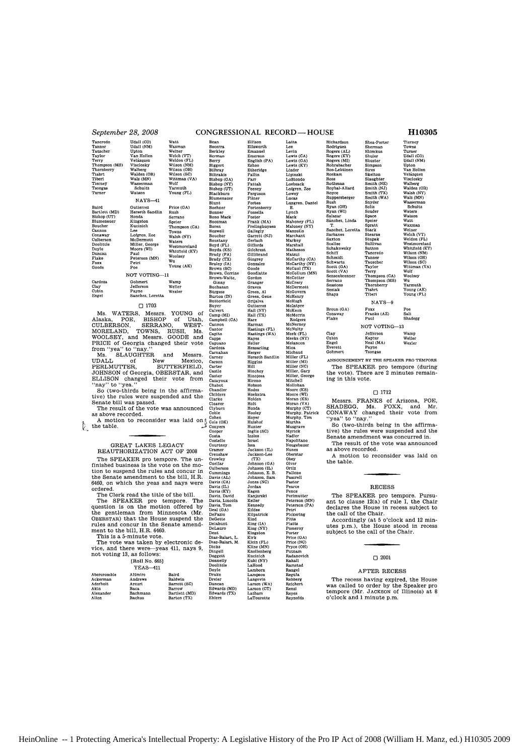| September 28, 2008 |                  |                |                  |                | CONGRESSIONAL RECORD - HOUSE |                  |                | <b>H10305</b>  |
|--------------------|------------------|----------------|------------------|----------------|------------------------------|------------------|----------------|----------------|
| Tancredo           | Udall (CO)       | Watt           | Bean             | Ellison        | Latta                        | Richardson       | Shea-Porter    | Tierney        |
| Tanner             | Udall (NM)       | Waxman         | <b>Becerra</b>   | Ellsworth      | Lee                          | Rodriguez        | Sherman        | Towns          |
| Tauscher           | Upton            | Weiner         | Berkley          | Emanuel        | Levin                        | Rozers (AL)      | Shimkus        | Turner         |
| Taylor             | Van Hollen       | Welch (VT)     | Berman           | <b>Emerson</b> | Lewis (CA)                   | Rogers (KY)      | Shuler         | Udall (CO)     |
| Terry              | Velázquez        | Weldon (FL)    | Berry            | English (PA)   | Lewis (GA)                   | Rogers (MI)      | Shuster        | Udall (NM)     |
| Thompson (MS)      | Visclosky        | Wilson (NM)    | Biggert          | Eshoo          | Lewis (KY)                   | Rohrabacher      | Simpson        | Upton          |
| Thornberry         | Walberg          | Wilson (OH)    | Bilbray          | Etheridge      | Linder                       | Ros-Lehtinen     | <b>Sires</b>   | Van Hollen     |
| Tiahrt             | Walden (OR)      | Wilson (SC)    | <b>Bilirakis</b> | Fallin         | Lipinski                     | Roskam           | Skelton        | Velázquez      |
| Tiberi             | Walz (MN)        | Wittman (VA)   | Bishop (GA)      | Farr           | LoBiondo                     | Ross             | Slaughter      | Visclosky      |
| Tierney            | Wasserman        | Wolf           | Bishop (NY)      | Fattah         | Loebsack                     | Rothman          | Smith (NE)     | Walberg        |
| Tsongas            | Schultz          | Yarmuth        | Bishop (UT)      | Feeney         | Lofgren, Zoe                 | Roybal-Allard    | Smith (NJ)     | Walden (OR)    |
| Turner             | Watson           | Young (FL)     | Blackburn        | Ferguson       | Lowey                        | Royce            | Smith (TX)     | Walsh (NY)     |
|                    |                  |                | Blumenauer       | Filner         | Lucas                        | Ruppersberger    | Smith (WA)     | Walz (MN)      |
|                    | $NAYS-41$        |                | Blunt            | Forbes         | Lungren, Daniel              | Rush             | Snyder         | Wasserman      |
| Baird              | Gutierrez        | Price (GA)     | Boehner          | Fortenberry    | E.                           | Ryan (OH)        | Solis          | Schuitz        |
| Bartlett (MD)      | Herseth Sandlin  | Rush           | Bonner           | Fossella       | Lynch                        | Ryan (WI)        | Souder         | Waters         |
| Bishop (UT)        | Honda            | Serrano        | Bono Mack        | Foster         | Mack                         | Salazar          | Space          | Watson         |
| Blumenauer         | Kingston         | Speier         | Boozman          | Frank (MA)     | Mahoney (FL)                 | Sánchez, Linda   | Speier         | Watt           |
| Boucher            | Kucinich         | Thompson (CA)  | Boren            | Frelinghuysen  | Maloney (NY)                 | т.               | Spratt         | Waxman         |
| Cannon             | Lee              | Towns          | <b>Boswell</b>   | Gallegly       | Manzullo                     | Sanchez, Loretta | Stark          | Weiner         |
| Conaway            | Lofgren, Zoe     | Walsh (NY)     | Boucher          | Garrett (NJ)   | Marchant                     | <b>Sarbanes</b>  | <b>Stearns</b> | Welch (VT)     |
| Culberson          | McDermott        | Waters         | Boustany         | Gerlach        | Markey                       | <b>Saxton</b>    | Stupak         | Weldon (FL)    |
| Doolittle          | Miller, George   | Westmoreland   | Boyd (FL)        | Giffords       | Marshall                     | Scalise          | Sullivan       | Westmoreland   |
| Doyle              | Moore (WI)       |                | Boyda (KS)       | Gilchrest      | Matheson                     | Schakowsky       | Sutton         | Whitfield (KY) |
| Duncan             | Paul             | Whitfield (KY) | Brady (PA)       | Gillibrand     | Matsui                       | Schiff           | Tancredo       | Wilson (NM)    |
| Flake              | Peterson (MN)    | Woolsey        | Brady (TX)       | Gingrey        | McCarthy (CA)                | Schmidt          | Tanner         | Wilson (OH)    |
| Foxx               | Petri            | Wu             | Braley (IA)      | Gonzalez       | McCarthy (NY)                | Schwartz         | Tauscher       | Wilson (SC)    |
| Goode              | Poe              | Young (AK)     | Brown (SC)       | Goode          | McCaul (TX)                  | Scott (GA)       | Taylor         | Wittman (VA)   |
|                    |                  |                | Brown, Corrine   | Goodlatte      | McCollum (MN)                | Scott (VA)       | Terry          | Wolf           |
|                    | NOT VOTING-11    |                | Brown-Waite.     | Gordon         | McCotter                     | Sensenbrenner    | Thompson (CA)  | Woolsey        |
| Cardoza            | Gonmert          | Wamp           | Ginny            | Granger        | McCrery                      | Serrano          | Thompson (MS)  | Wu             |
| Clav               | Jefferson        | Weller         | Buchanan         | Graves         | McDermott                    | Sessions         | Thornberry     | Yarmuth        |
| Cubin              | Payne            | Wexler         | <b>Burgess</b>   | Green, Al      | McGovern                     | Sestak           | Tiahrt         | Young (AK)     |
| Engel              | Sanchez, Loretta |                | Burton (IN)      | Green, Gene    | McHenry                      | Shays            | Tibert         | Young (FL)     |

Alaska, POE, BISHOP of Utah, Campbell **(CA) Hare** Rodgers Flake **Paul** Shadegg CULBERSON, SERRANO, WEST- Cannon Harman McNerney NOT VOTING-I3 MORELAND, TOWNS, RUSH, MS. Cantor Hastings (FL) McNulty Capito Hastings (WA) Meek (FL) Clay Jefferson Wamp WOOLSEY, **and** Messrs. GOODE and **Capps Hayes** Meeks(NY) Cobin Kaptur Weller PRICE of Georgia changed their vote **Capuano** Hller Melancon Engel Neal (MA) Wexler from"yea" to "nay." **Cardoza** Hensarling **Mica Everett Payne Carnahan** Herger **Michaud** Goohmert Tsongas **Ms.** SLAUGHTER and Messrs. Carney Hossoth Sandlin Miller (FL) WOOLSEY, and Messrs. GOODE and Carson Higgins Miller (EL)<br>
PRICE of Georgia Changed their vote Carson Higgins Michael Mexico, Carson Higgins Michael Michael Magnet<br>
Tom 'yea' to 'inay." MIS. SLAUGHTER and Messrs. Carnely

TERLINIVI I ER, DOITER-TELLIN, caste and Mindey Miller, Gar (1991)<br>
IMPINSON of Georgia, OBERSTAR, and Caster Hindes Miller, Gar<br>
"Inay" to "yea." Hindes Michell<br>
"Any" to "yea." (2001)<br>
So (two-thirds being in the affirma

Senate bill was passed.<br>
The result of the vote was announced Cleaver<br>
The result of the vote was announced Clyburn Honda<br>
The result of the Coble<br>
Senate Hoole

to reconsider was laid on Cohen Hower Murphy, Tim "yea" to "lnay."<br>A motion to reconsider was laid on Cole (OK) Hulshof Murtha "yea" to "lnay."<br>the table. So (two-thirds being in the affirma

GREAT LAKES LEGACY Courtney Issa Neugebauer The result of the vote was announced<br>
UTHORIZATION ACT OF 2006 Cramer Jackson (L) Neues as above recorded.<br>
SPEAKER pro tempore. The un-Crossley de Cramer Johnson (3.4) over A m The SPEAKER pro tempore. The un-The SPEARES provements the unit crossby that the contract the capendal contract the capendal of the capendal of the capendal of the capendal of the capendal of the capendal of the capendal of the capendal of the Senate am 6. Construction of the bill, H.R. butter (Abiabato, E.B. Faither and the years and nays were Davis (CA) (Davis CA) **Pastor** (Pass and nays were Davis (KY) Jones (Pastor) Pastor (Pass of the Pastor of the Davis CA)  $\frac{1}{2}$ 

ordered.<br>
The Clerk read the title of the bill. Basis (IL) Basis (IL) Declared Pearce Particular Pearce Particular Pearce Particular Pearce The SPEAKER pro tempore. The SPEAKER pro tempore The SPEAKER pro tempore The SPEAK The SPEAKER pro tempore. The Davis, Islach Kennedy Peterson (MR) ant to clause 12(a) of rule I, the CHair question is on the motion offered by Davis, Tom Kennedy Petrson (PA) declares the House in recess subject to DeBERST OBERSTAR) that the House suspend the begins and concurred the senate amend-<br>
Tules and concurr in the Senate amend-<br>  $\sum_{\text{Delta} \text{ sum of NN}}$   $\sum_{\text{Delta} \text{ sum of NN}}$  and  $\sum_{\text{Delta} \text{ max}}$  and concurred in recess

This is a 5-minute vote. Diaz-Balart, L. Kirk Price (GA) The vote was taken by electronic de- Diaz-Balart, M. Klein (FL) Price **(NC)** vice, and there were-yeas 411, nays 9.

| not voting 13, as follows: |                | TAUDI WAAR VALUAD TIDAD JOURN AAAI AHUJU UI | Dingell<br>Doggett    | Knollenberg<br>Kucinich | Putnam<br>Radanovich | $\Box$ 2001                            |
|----------------------------|----------------|---------------------------------------------|-----------------------|-------------------------|----------------------|----------------------------------------|
|                            | [Roll No. 665] |                                             | Donnelly<br>Doolittle | Kuhl (NY)<br>LaHood     | Rahall<br>Ramstad    |                                        |
|                            | $YEAS - 411$   |                                             | Dovle                 | Lamborn                 | Rangel               | AFTER RECESS                           |
| Abercrombie                | Altmire        | Baird                                       | Drake.                | Lampson                 | Regula               |                                        |
| Ackerman                   | Andrews        | <b>Baldwin</b>                              | Dreier                | Langevin                | Rehberg              | The recess having expired, the House   |
| Aderholt                   | Arcuri         | Barrett (SC)                                | Duncan                | Larsen (WA)             | Reichert             | was called to order by the Speaker pro |
| Akin                       | Васа           | Barrow                                      | Edwards (MD)          | Larson (CT)             | Renzi                |                                        |
| Alexander                  | Bachmann       | Bartlett (MD)                               | Edwards (TX)          | Latham                  | Reves                | tempore (Mr. JACKSON of Illinois) at 8 |
| Allen                      | <b>Bachus</b>  | Barton (TX)                                 | Ehlers                | LaTourette              | Revnolds             | o'clock and 1 minute p.m.              |

 $\begin{tabular}{l|c|c|c|c|c|c|c} \hline \textbf{X} & \textbf{O} & \textbf{O} & \textbf{O} & \textbf{O} & \textbf{O} & \textbf{O} & \textbf{O} & \textbf{O} & \textbf{O} & \textbf{O} & \textbf{O} & \textbf{O} & \textbf{O} & \textbf{O} & \textbf{O} & \textbf{O} & \textbf{O} & \textbf{O} & \textbf{O} & \textbf{O} & \textbf{O} & \textbf{O} & \textbf{O} & \textbf{O} & \textbf{O} & \textbf{O} & \textbf{O}$ Colo I<br>Costello Huisholf Murchia (Copper Inglis (SCS) Myrick Costello I<br>Gostello I<br>Raile Costello I<br>Gostello I<br>Raile Napolitano I<br>Cornelay Israel Newton Contract Cornelay I<br>Cornelay I<br>Cornelay I<br>Cornelay I<br>Cornelay I<br>Corne Delaburt King (M)<br>
DeLauro King (NY) Piats (MOS (2001)<br>
DeLauro King (NY) Poneroy utes p.m.), the House-Salart, L<br>
Nux-Balart, L, Kirk Price (GA)<br>
Diax-Balart, L, Kirk Price (GA)<br>
Diax-Balart, L, Kirk Price (GA)<br>
Diax-Bala [Roll NO **665** Donnelly Kh Kl (NY) Rahall Doolittle LaHood **Ramstad** YEAS--ll **Doyle Lamborn pangel** AFTER RECESS Kuchich<br>
Kuhi (NY) Rahall<br>
LaHood Ramstad<br>
Lampson Ragel<br>
Lampson Regula<br>
Lamgevin Rehberg<br>
Lamgevin Rehberg<br>
Lamgevin Rehberg<br>
Laxson (OT) Renzi<br>
Laxson (OT) Renzi<br>
Laxson (OT) Renzi<br>
Lafham Reys<br>
LaTourette Reynolds Edwards (MD) Larson (CT) Renzi<br> **Edwards (TX)** Latham Reyes

**NAYS-41 Blumenauer Fitner Lucas Ruppersberger Smith** (WA) **Walz (MN) Blunt** Forbes Lungren. Daniel **Rush** Snyder **Wasserman** Buccher Gardiel (W) Marchant Satton Stapha Buckles Staten Buckles Staten Buckles Burkan Buyd (EL) Giffords Markels Burkan Buyd (AS) Giffords Matheson Schakrowsky Staten Brady (TA) Giffurt Matheson Schakrowsky Staten Tanger F1 1703 Buyer Gutierrez McIntyre Calvert **Hall** (NY) McKeon **Broun (GA)** Foxx **Poe** Ms. WATERS, Messrs. YOUNG of Camp (MI) Hail (TX) McMorris Conaway Franks (AZ) Sali

Hill – Miller NGO – The SPEAKER pro tempore (during<br>Hinchey – Miller Gary – the vote). There are 2 minutes remain-<br>Hirpan – Miller derge – ing in this vote.

The result of the vote was announced Clyburn Honda Murphy (CT) SHADEGG, Ms. FOXX, and Mr.<br>as above recorded. Coble Hooley Murphy, Patrick CONAWAY changed their vote from

Cooper **nglis (SC)** SMyrick tive) the rules were suspended and the **Costa** Inslee Nadler Senate amendment was concurred in.

REAUTHORIZATION ACT OF 2008 Cramer Jackson (IL) Nunes as above recorded.<br>The SPEAKER pro tempore. The unit of the second oberstar as above reconsider was laid on<br>The Seconsider Manne Cuellar Johnson (GA) Olver the table.

Now, Lincoln Keller<br>
Navis, Lincoln Keller<br>
Davis, Common Renessan (RA)<br>
Davis, The Davis Common Peterson (RA)<br>
Davis Common Peterson (RA)<br>
Definition Common Petral declares the House in recess subject to<br>
Definition Engli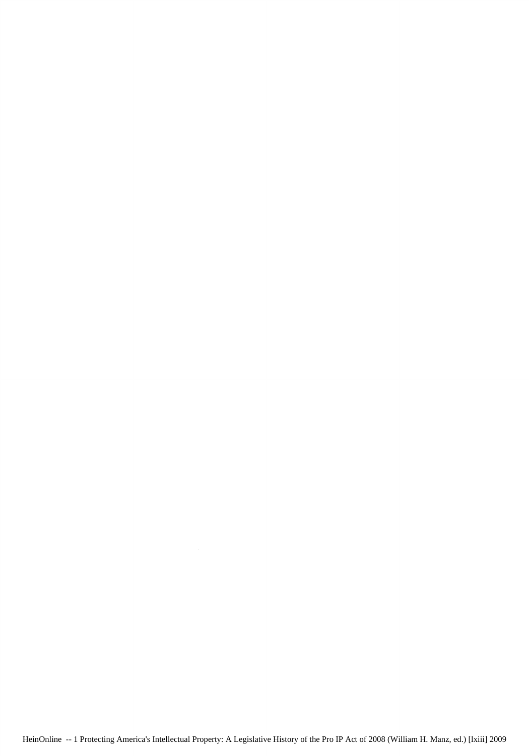HeinOnline -- 1 Protecting America's Intellectual Property: A Legislative History of the Pro IP Act of 2008 (William H. Manz, ed.) [lxiii] 2009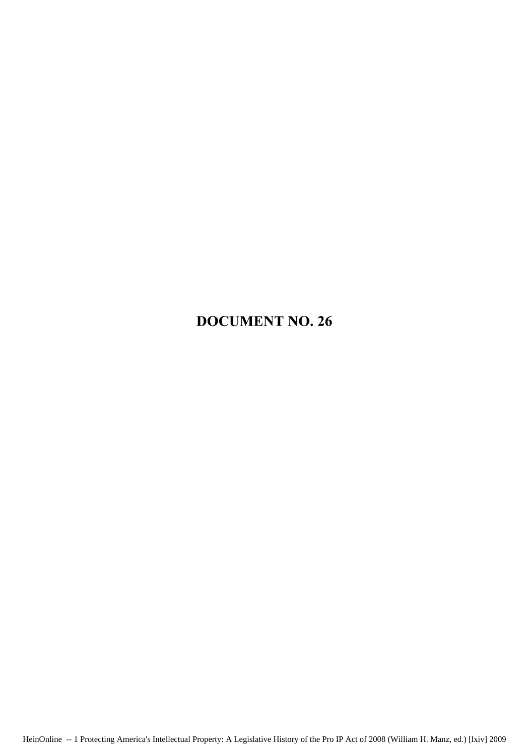# **DOCUMENT NO.26**